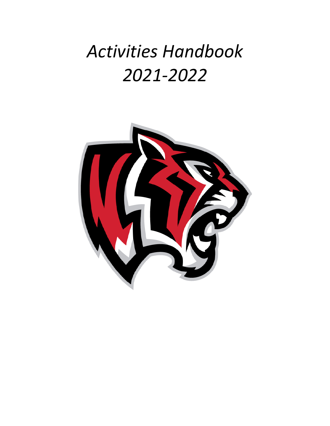# *Activities Handbook 2021-2022*

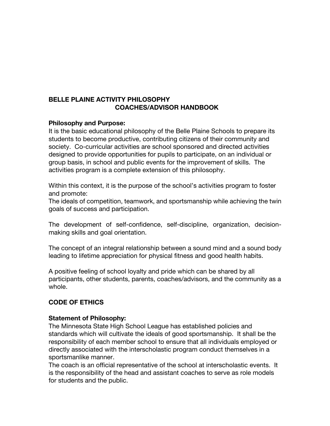# **BELLE PLAINE ACTIVITY PHILOSOPHY COACHES/ADVISOR HANDBOOK**

#### **Philosophy and Purpose:**

It is the basic educational philosophy of the Belle Plaine Schools to prepare its students to become productive, contributing citizens of their community and society. Co-curricular activities are school sponsored and directed activities designed to provide opportunities for pupils to participate, on an individual or group basis, in school and public events for the improvement of skills. The activities program is a complete extension of this philosophy.

Within this context, it is the purpose of the school's activities program to foster and promote:

The ideals of competition, teamwork, and sportsmanship while achieving the twin goals of success and participation.

The development of self-confidence, self-discipline, organization, decisionmaking skills and goal orientation.

The concept of an integral relationship between a sound mind and a sound body leading to lifetime appreciation for physical fitness and good health habits.

A positive feeling of school loyalty and pride which can be shared by all participants, other students, parents, coaches/advisors, and the community as a whole.

#### **CODE OF ETHICS**

#### **Statement of Philosophy:**

The Minnesota State High School League has established policies and standards which will cultivate the ideals of good sportsmanship. It shall be the responsibility of each member school to ensure that all individuals employed or directly associated with the interscholastic program conduct themselves in a sportsmanlike manner.

The coach is an official representative of the school at interscholastic events. It is the responsibility of the head and assistant coaches to serve as role models for students and the public.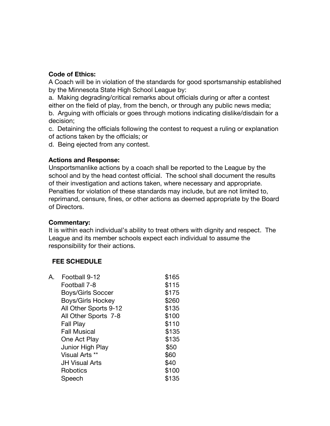#### **Code of Ethics:**

A Coach will be in violation of the standards for good sportsmanship established by the Minnesota State High School League by:

a. Making degrading/critical remarks about officials during or after a contest

either on the field of play, from the bench, or through any public news media; b. Arguing with officials or goes through motions indicating dislike/disdain for a decision;

c. Detaining the officials following the contest to request a ruling or explanation of actions taken by the officials; or

d. Being ejected from any contest.

#### **Actions and Response:**

Unsportsmanlike actions by a coach shall be reported to the League by the school and by the head contest official. The school shall document the results of their investigation and actions taken, where necessary and appropriate. Penalties for violation of these standards may include, but are not limited to, reprimand, censure, fines, or other actions as deemed appropriate by the Board of Directors.

#### **Commentary:**

It is within each individual's ability to treat others with dignity and respect. The League and its member schools expect each individual to assume the responsibility for their actions.

# **FEE SCHEDULE**

| А | Football 9-12            | \$165 |
|---|--------------------------|-------|
|   | Football 7-8             | \$115 |
|   | <b>Boys/Girls Soccer</b> | \$175 |
|   | <b>Boys/Girls Hockey</b> | \$260 |
|   | All Other Sports 9-12    | \$135 |
|   | All Other Sports 7-8     | \$100 |
|   | Fall Play                | \$110 |
|   | <b>Fall Musical</b>      | \$135 |
|   | One Act Play             | \$135 |
|   | Junior High Play         | \$50  |
|   | Visual Arts **           | \$60  |
|   | <b>JH Visual Arts</b>    | \$40  |
|   | Robotics                 | \$100 |
|   | Speech                   | \$135 |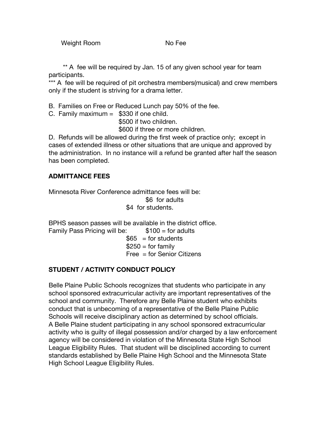Weight Room No Fee

\*\* A fee will be required by Jan. 15 of any given school year for team participants.

\*\*\* A fee will be required of pit orchestra members(musical) and crew members only if the student is striving for a drama letter.

B. Families on Free or Reduced Lunch pay 50% of the fee.

C. Family maximum  $=$  \$330 if one child.

\$500 if two children.

\$600 if three or more children.

D. Refunds will be allowed during the first week of practice only; except in cases of extended illness or other situations that are unique and approved by the administration. In no instance will a refund be granted after half the season has been completed.

# **ADMITTANCE FEES**

Minnesota River Conference admittance fees will be: \$6 for adults \$4 for students.

BPHS season passes will be available in the district office. Family Pass Pricing will be:  $$100 =$  for adults  $$65 = for students$  $$250 = for family$ Free = for Senior Citizens

# **STUDENT / ACTIVITY CONDUCT POLICY**

Belle Plaine Public Schools recognizes that students who participate in any school sponsored extracurricular activity are important representatives of the school and community. Therefore any Belle Plaine student who exhibits conduct that is unbecoming of a representative of the Belle Plaine Public Schools will receive disciplinary action as determined by school officials. A Belle Plaine student participating in any school sponsored extracurricular activity who is guilty of illegal possession and/or charged by a law enforcement agency will be considered in violation of the Minnesota State High School League Eligibility Rules. That student will be disciplined according to current standards established by Belle Plaine High School and the Minnesota State High School League Eligibility Rules.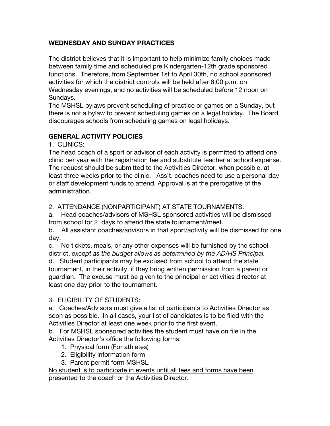# **WEDNESDAY AND SUNDAY PRACTICES**

The district believes that it is important to help minimize family choices made between family time and scheduled pre Kindergarten-12th grade sponsored functions. Therefore, from September 1st to April 30th, no school sponsored activities for which the district controls will be held after 6:00 p.m. on Wednesday evenings, and no activities will be scheduled before 12 noon on Sundays.

The MSHSL bylaws prevent scheduling of practice or games on a Sunday, but there is not a bylaw to prevent scheduling games on a legal holiday. The Board discourages schools from scheduling games on legal holidays.

# **GENERAL ACTIVITY POLICIES**

1. CLINICS:

The head coach of a sport or advisor of each activity is permitted to attend one clinic per year with the registration fee and substitute teacher at school expense. The request should be submitted to the Activities Director, when possible, at least three weeks prior to the clinic. Ass't. coaches need to use a personal day or staff development funds to attend. Approval is at the prerogative of the administration.

2. ATTENDANCE (NONPARTICIPANT) AT STATE TOURNAMENTS:

a. Head coaches/advisors of MSHSL sponsored activities will be dismissed from school for 2 days to attend the state tournament/meet.

b. All assistant coaches/advisors in that sport/activity will be dismissed for one day.

c. No tickets, meals, or any other expenses will be furnished by the school district, *except as the budget allows as determined by the AD/HS Principal.* d. Student participants may be excused from school to attend the state tournament, in their activity, if they bring written permission from a parent or guardian. The excuse must be given to the principal or activities director at least one day prior to the tournament.

# 3. ELIGIBILITY OF STUDENTS:

a. Coaches/Advisors must give a list of participants to Activities Director as soon as possible. In all cases, your list of candidates is to be filed with the Activities Director at least one week prior to the first event.

b. For MSHSL sponsored activities the student must have on file in the Activities Director's office the following forms:

- 1. Physical form (For athletes)
- 2. Eligibility information form
- 3. Parent permit form MSHSL

No student is to participate in events until all fees and forms have been presented to the coach or the Activities Director.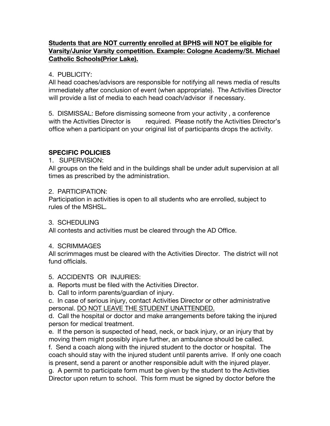# **Students that are NOT currently enrolled at BPHS will NOT be eligible for Varsity/Junior Varsity competition. Example: Cologne Academy/St. Michael Catholic Schools(Prior Lake).**

#### 4. PUBLICITY:

All head coaches/advisors are responsible for notifying all news media of results immediately after conclusion of event (when appropriate). The Activities Director will provide a list of media to each head coach/advisor if necessary.

5. DISMISSAL: Before dismissing someone from your activity , a conference with the Activities Director is required. Please notify the Activities Director's office when a participant on your original list of participants drops the activity.

# **SPECIFIC POLICIES**

#### 1. SUPERVISION:

All groups on the field and in the buildings shall be under adult supervision at all times as prescribed by the administration.

#### 2. PARTICIPATION:

Participation in activities is open to all students who are enrolled, subject to rules of the MSHSL.

# 3. SCHEDULING

All contests and activities must be cleared through the AD Office.

#### 4. SCRIMMAGES

All scrimmages must be cleared with the Activities Director. The district will not fund officials.

5. ACCIDENTS OR INJURIES:

a. Reports must be filed with the Activities Director.

b. Call to inform parents/guardian of injury.

c. In case of serious injury, contact Activities Director or other administrative personal. DO NOT LEAVE THE STUDENT UNATTENDED.

d. Call the hospital or doctor and make arrangements before taking the injured person for medical treatment.

e. If the person is suspected of head, neck, or back injury, or an injury that by moving them might possibly injure further, an ambulance should be called.

f. Send a coach along with the injured student to the doctor or hospital. The coach should stay with the injured student until parents arrive. If only one coach is present, send a parent or another responsible adult with the injured player. g. A permit to participate form must be given by the student to the Activities

Director upon return to school. This form must be signed by doctor before the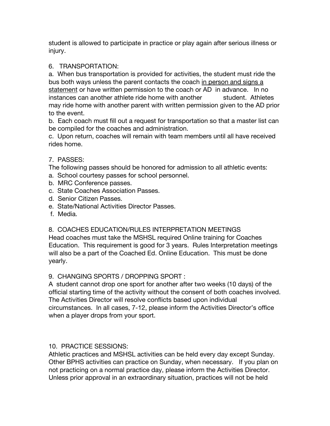student is allowed to participate in practice or play again after serious illness or injury.

# 6. TRANSPORTATION:

a. When bus transportation is provided for activities, the student must ride the bus both ways unless the parent contacts the coach in person and signs a statement or have written permission to the coach or AD in advance. In no instances can another athlete ride home with another student. Athletes may ride home with another parent with written permission given to the AD prior to the event.

b. Each coach must fill out a request for transportation so that a master list can be compiled for the coaches and administration.

c. Upon return, coaches will remain with team members until all have received rides home.

# 7. PASSES:

The following passes should be honored for admission to all athletic events:

- a. School courtesy passes for school personnel.
- b. MRC Conference passes.
- c. State Coaches Association Passes.
- d. Senior Citizen Passes.
- e. State/National Activities Director Passes.
- f. Media.

8. COACHES EDUCATION/RULES INTERPRETATION MEETINGS

Head coaches must take the MSHSL required Online training for Coaches Education. This requirement is good for 3 years. Rules Interpretation meetings will also be a part of the Coached Ed. Online Education. This must be done yearly.

# 9. CHANGING SPORTS / DROPPING SPORT :

A student cannot drop one sport for another after two weeks (10 days) of the official starting time of the activity without the consent of both coaches involved. The Activities Director will resolve conflicts based upon individual circumstances. In all cases, 7-12, please inform the Activities Director's office when a player drops from your sport.

# 10. PRACTICE SESSIONS:

Athletic practices and MSHSL activities can be held every day except Sunday. Other BPHS activities can practice on Sunday, when necessary. If you plan on not practicing on a normal practice day, please inform the Activities Director. Unless prior approval in an extraordinary situation, practices will not be held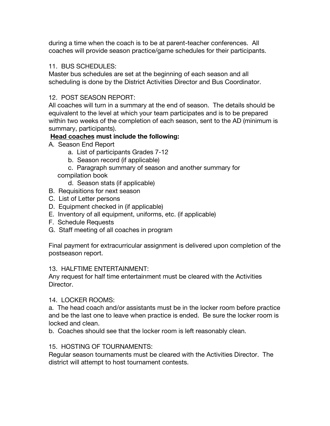during a time when the coach is to be at parent-teacher conferences. All coaches will provide season practice/game schedules for their participants.

#### 11. BUS SCHEDULES:

Master bus schedules are set at the beginning of each season and all scheduling is done by the District Activities Director and Bus Coordinator.

# 12. POST SEASON REPORT:

All coaches will turn in a summary at the end of season. The details should be equivalent to the level at which your team participates and is to be prepared within two weeks of the completion of each season, sent to the AD (minimum is summary, participants).

# **Head coaches must include the following:**

- A. Season End Report
	- a. List of participants Grades 7-12
	- b. Season record (if applicable)
	- c. Paragraph summary of season and another summary for compilation book
		- d. Season stats (if applicable)
- B. Requisitions for next season
- C. List of Letter persons
- D. Equipment checked in (if applicable)
- E. Inventory of all equipment, uniforms, etc. (if applicable)
- F. Schedule Requests
- G. Staff meeting of all coaches in program

Final payment for extracurricular assignment is delivered upon completion of the postseason report.

# 13. HALFTIME ENTERTAINMENT:

Any request for half time entertainment must be cleared with the Activities Director.

14. LOCKER ROOMS:

a. The head coach and/or assistants must be in the locker room before practice and be the last one to leave when practice is ended. Be sure the locker room is locked and clean.

b. Coaches should see that the locker room is left reasonably clean.

# 15. HOSTING OF TOURNAMENTS:

Regular season tournaments must be cleared with the Activities Director. The district will attempt to host tournament contests.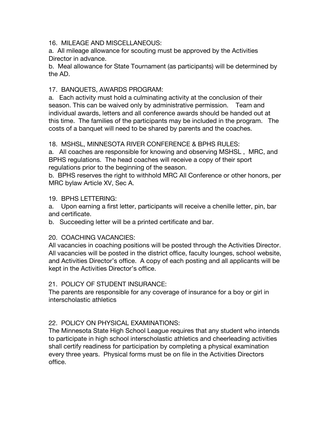#### 16. MILEAGE AND MISCELLANEOUS:

a. All mileage allowance for scouting must be approved by the Activities Director in advance.

b. Meal allowance for State Tournament (as participants) will be determined by the AD.

# 17. BANQUETS, AWARDS PROGRAM:

a. Each activity must hold a culminating activity at the conclusion of their season. This can be waived only by administrative permission. Team and individual awards, letters and all conference awards should be handed out at this time. The families of the participants may be included in the program. The costs of a banquet will need to be shared by parents and the coaches.

#### 18. MSHSL, MINNESOTA RIVER CONFERENCE & BPHS RULES:

a. All coaches are responsible for knowing and observing MSHSL , MRC, and BPHS regulations. The head coaches will receive a copy of their sport regulations prior to the beginning of the season.

b. BPHS reserves the right to withhold MRC All Conference or other honors, per MRC bylaw Article XV, Sec A.

#### 19. BPHS LETTERING:

a. Upon earning a first letter, participants will receive a chenille letter, pin, bar and certificate.

b. Succeeding letter will be a printed certificate and bar.

# 20. COACHING VACANCIES:

All vacancies in coaching positions will be posted through the Activities Director. All vacancies will be posted in the district office, faculty lounges, school website, and Activities Director's office. A copy of each posting and all applicants will be kept in the Activities Director's office.

#### 21. POLICY OF STUDENT INSURANCE:

The parents are responsible for any coverage of insurance for a boy or girl in interscholastic athletics

# 22. POLICY ON PHYSICAL EXAMINATIONS:

The Minnesota State High School League requires that any student who intends to participate in high school interscholastic athletics and cheerleading activities shall certify readiness for participation by completing a physical examination every three years. Physical forms must be on file in the Activities Directors office.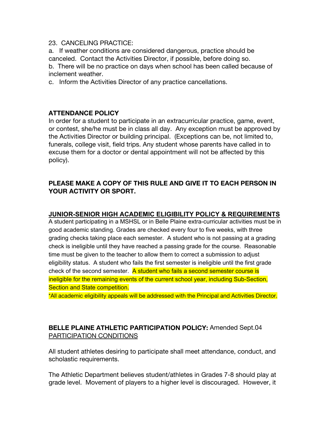#### 23. CANCELING PRACTICE:

a. If weather conditions are considered dangerous, practice should be canceled. Contact the Activities Director, if possible, before doing so. b. There will be no practice on days when school has been called because of inclement weather.

c. Inform the Activities Director of any practice cancellations.

# **ATTENDANCE POLICY**

In order for a student to participate in an extracurricular practice, game, event, or contest, she/he must be in class all day. Any exception must be approved by the Activities Director or building principal. (Exceptions can be, not limited to, funerals, college visit, field trips. Any student whose parents have called in to excuse them for a doctor or dental appointment will not be affected by this policy).

# **PLEASE MAKE A COPY OF THIS RULE AND GIVE IT TO EACH PERSON IN YOUR ACTIVITY OR SPORT.**

# **JUNIOR-SENIOR HIGH ACADEMIC ELIGIBILITY POLICY & REQUIREMENTS**

A student participating in a MSHSL or in Belle Plaine extra-curricular activities must be in good academic standing. Grades are checked every four to five weeks, with three grading checks taking place each semester. A student who is not passing at a grading check is ineligible until they have reached a passing grade for the course. Reasonable time must be given to the teacher to allow them to correct a submission to adjust eligibility status. A student who fails the first semester is ineligible until the first grade check of the second semester. A student who fails a second semester course is ineligible for the remaining events of the current school year, including Sub-Section, Section and State competition.

\*All academic eligibility appeals will be addressed with the Principal and Activities Director.

# **BELLE PLAINE ATHLETIC PARTICIPATION POLICY:** Amended Sept.04 PARTICIPATION CONDITIONS

All student athletes desiring to participate shall meet attendance, conduct, and scholastic requirements.

The Athletic Department believes student/athletes in Grades 7-8 should play at grade level. Movement of players to a higher level is discouraged. However, it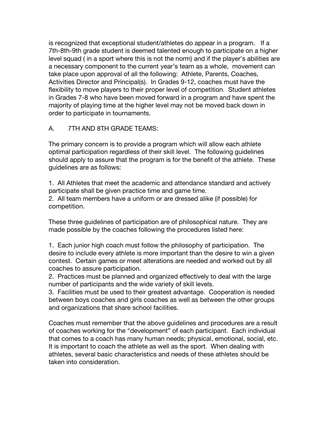is recognized that exceptional student/athletes do appear in a program. If a 7th-8th-9th grade student is deemed talented enough to participate on a higher level squad ( in a sport where this is not the norm) and if the player's abilities are a necessary component to the current year's team as a whole, movement can take place upon approval of all the following: Athlete, Parents, Coaches, Activities Director and Principal(s). In Grades 9-12, coaches must have the flexibility to move players to their proper level of competition. Student athletes in Grades 7-8 who have been moved forward in a program and have spent the majority of playing time at the higher level may not be moved back down in order to participate in tournaments.

# A. 7TH AND 8TH GRADE TEAMS:

The primary concern is to provide a program which will allow each athlete optimal participation regardless of their skill level. The following guidelines should apply to assure that the program is for the benefit of the athlete. These guidelines are as follows:

1. All Athletes that meet the academic and attendance standard and actively participate shall be given practice time and game time.

2. All team members have a uniform or are dressed alike (if possible) for competition.

These three guidelines of participation are of philosophical nature. They are made possible by the coaches following the procedures listed here:

1. Each junior high coach must follow the philosophy of participation. The desire to include every athlete is more important than the desire to win a given contest. Certain games or meet alterations are needed and worked out by all coaches to assure participation.

2. Practices must be planned and organized effectively to deal with the large number of participants and the wide variety of skill levels.

3. Facilities must be used to their greatest advantage. Cooperation is needed between boys coaches and girls coaches as well as between the other groups and organizations that share school facilities.

Coaches must remember that the above guidelines and procedures are a result of coaches working for the "development" of each participant. Each individual that comes to a coach has many human needs; physical, emotional, social, etc. It is important to coach the athlete as well as the sport. When dealing with athletes, several basic characteristics and needs of these athletes should be taken into consideration.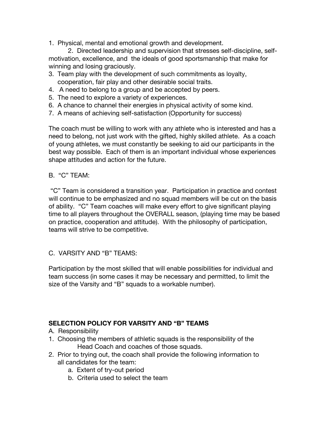1. Physical, mental and emotional growth and development.

2. Directed leadership and supervision that stresses self-discipline, selfmotivation, excellence, and the ideals of good sportsmanship that make for winning and losing graciously.

- 3. Team play with the development of such commitments as loyalty, cooperation, fair play and other desirable social traits.
- 4. A need to belong to a group and be accepted by peers.
- 5. The need to explore a variety of experiences.
- 6. A chance to channel their energies in physical activity of some kind.
- 7. A means of achieving self-satisfaction (Opportunity for success)

The coach must be willing to work with any athlete who is interested and has a need to belong, not just work with the gifted, highly skilled athlete. As a coach of young athletes, we must constantly be seeking to aid our participants in the best way possible. Each of them is an important individual whose experiences shape attitudes and action for the future.

#### B. "C" TEAM:

"C" Team is considered a transition year. Participation in practice and contest will continue to be emphasized and no squad members will be cut on the basis of ability. "C" Team coaches will make every effort to give significant playing time to all players throughout the OVERALL season, (playing time may be based on practice, cooperation and attitude). With the philosophy of participation, teams will strive to be competitive.

C. VARSITY AND "B" TEAMS:

Participation by the most skilled that will enable possibilities for individual and team success (in some cases it may be necessary and permitted, to limit the size of the Varsity and "B" squads to a workable number).

# **SELECTION POLICY FOR VARSITY AND "B" TEAMS**

- A. Responsibility
- 1. Choosing the members of athletic squads is the responsibility of the Head Coach and coaches of those squads.
- 2. Prior to trying out, the coach shall provide the following information to all candidates for the team:
	- a. Extent of try-out period
	- b. Criteria used to select the team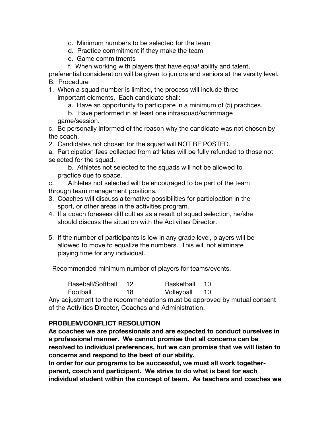- c. Minimum numbers to be selected for the team
- d. Practice commitment if they make the team
- e. Game commitments
- f. When working with players that have *equal* ability and talent,

preferential consideration will be given to juniors and seniors at the varsity level.

B. Procedure

- 1. When a squad number is limited, the process will include three important elements. Each candidate shall:
	- a. Have an opportunity to participate in a minimum of (5) practices.
	- b. Have performed in at least one intrasquad/scrimmage game/session.

c. Be personally informed of the reason why the candidate was not chosen by the coach.

2. Candidates not chosen for the squad will NOT BE POSTED.

a. Participation fees collected from athletes will be fully refunded to those not selected for the squad.

b. Athletes not selected to the squads will not be allowed to practice due to space.

c. Athletes not selected will be encouraged to be part of the team through team management positions.

- 3. Coaches will discuss alternative possibilities for participation in the sport, or other areas in the activities program.
- 4. If a coach foresees difficulties as a result of squad selection, he/she should discuss the situation with the Activities Director.
- 5. If the number of participants is low in any grade level, players will be allowed to move to equalize the numbers. This will not eliminate playing time for any individual.

Recommended minimum number of players for teams/events.

| Baseball/Softball | -12. | Basketball 10 |     |
|-------------------|------|---------------|-----|
| Football          | 18   | Volleyball    | 10. |

Any adjustment to the recommendations must be approved by mutual consent of the Activities Director, Coaches and Administration.

# **PROBLEM/CONFLICT RESOLUTION**

**As coaches we are professionals and are expected to conduct ourselves in a professional manner. We cannot promise that all concerns can be resolved to individual preferences, but we can promise that we will listen to concerns and respond to the best of our ability.**

**In order for our programs to be successful, we must all work togetherparent, coach and participant. We strive to do what is best for each individual student within the concept of team. As teachers and coaches we**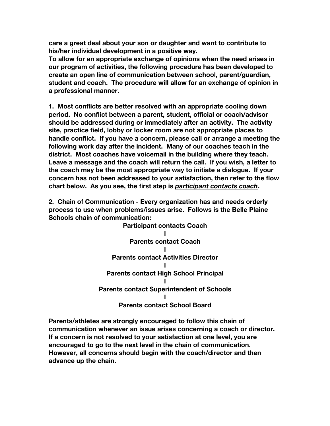**care a great deal about your son or daughter and want to contribute to his/her individual development in a positive way.**

**To allow for an appropriate exchange of opinions when the need arises in our program of activities, the following procedure has been developed to create an open line of communication between school, parent/guardian, student and coach. The procedure will allow for an exchange of opinion in a professional manner.**

**1. Most conflicts are better resolved with an appropriate cooling down period. No conflict between a parent, student, official or coach/advisor should be addressed during or immediately after an activity. The activity site, practice field, lobby or locker room are not appropriate places to handle conflict. If you have a concern, please call or arrange a meeting the following work day after the incident. Many of our coaches teach in the district. Most coaches have voicemail in the building where they teach. Leave a message and the coach will return the call. If you wish, a letter to the coach may be the most appropriate way to initiate a dialogue. If your concern has not been addressed to your satisfaction, then refer to the flow chart below. As you see, the first step is** *participant contacts coach***.**

**2. Chain of Communication - Every organization has and needs orderly process to use when problems/issues arise. Follows is the Belle Plaine Schools chain of communication:**



**Parents/athletes are strongly encouraged to follow this chain of communication whenever an issue arises concerning a coach or director. If a concern is not resolved to your satisfaction at one level, you are encouraged to go to the next level in the chain of communication. However, all concerns should begin with the coach/director and then advance up the chain.**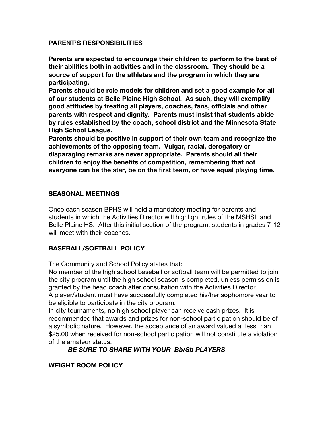#### **PARENT'S RESPONSIBILITIES**

**Parents are expected to encourage their children to perform to the best of their abilities both in activities and in the classroom. They should be a source of support for the athletes and the program in which they are participating.** 

**Parents should be role models for children and set a good example for all of our students at Belle Plaine High School. As such, they will exemplify good attitudes by treating all players, coaches, fans, officials and other parents with respect and dignity. Parents must insist that students abide by rules established by the coach, school district and the Minnesota State High School League.**

**Parents should be positive in support of their own team and recognize the achievements of the opposing team. Vulgar, racial, derogatory or disparaging remarks are never appropriate. Parents should all their children to enjoy the benefits of competition, remembering that not everyone can be the star, be on the first team, or have equal playing time.**

# **SEASONAL MEETINGS**

Once each season BPHS will hold a mandatory meeting for parents and students in which the Activities Director will highlight rules of the MSHSL and Belle Plaine HS. After this initial section of the program, students in grades 7-12 will meet with their coaches.

# **BASEBALL/SOFTBALL POLICY**

The Community and School Policy states that:

No member of the high school baseball or softball team will be permitted to join the city program until the high school season is completed, unless permission is granted by the head coach after consultation with the Activities Director. A player/student must have successfully completed his/her sophomore year to be eligible to participate in the city program.

In city tournaments, no high school player can receive cash prizes. It is recommended that awards and prizes for non-school participation should be of a symbolic nature. However, the acceptance of an award valued at less than \$25.00 when received for non-school participation will not constitute a violation of the amateur status.

# *BE SURE TO SHARE WITH YOUR Bb/Sb PLAYERS*

# **WEIGHT ROOM POLICY**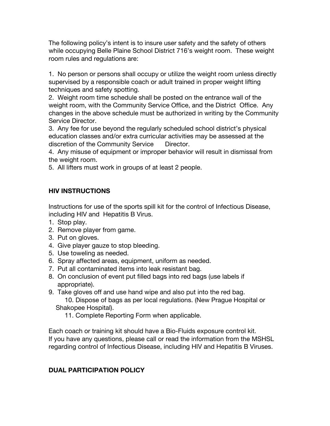The following policy's intent is to insure user safety and the safety of others while occupying Belle Plaine School District 716's weight room. These weight room rules and regulations are:

1. No person or persons shall occupy or utilize the weight room unless directly supervised by a responsible coach or adult trained in proper weight lifting techniques and safety spotting.

2. Weight room time schedule shall be posted on the entrance wall of the weight room, with the Community Service Office, and the District Office. Any changes in the above schedule must be authorized in writing by the Community Service Director.

3. Any fee for use beyond the regularly scheduled school district's physical education classes and/or extra curricular activities may be assessed at the discretion of the Community Service Director.

4. Any misuse of equipment or improper behavior will result in dismissal from the weight room.

5. All lifters must work in groups of at least 2 people.

# **HIV INSTRUCTIONS**

Instructions for use of the sports spill kit for the control of Infectious Disease, including HIV and Hepatitis B Virus.

- 1. Stop play.
- 2. Remove player from game.
- 3. Put on gloves.
- 4. Give player gauze to stop bleeding.
- 5. Use toweling as needed.
- 6. Spray affected areas, equipment, uniform as needed.
- 7. Put all contaminated items into leak resistant bag.
- 8. On conclusion of event put filled bags into red bags (use labels if appropriate).
- 9. Take gloves off and use hand wipe and also put into the red bag. 10. Dispose of bags as per local regulations. (New Prague Hospital or Shakopee Hospital).
	- 11. Complete Reporting Form when applicable.

Each coach or training kit should have a Bio-Fluids exposure control kit. If you have any questions, please call or read the information from the MSHSL regarding control of Infectious Disease, including HIV and Hepatitis B Viruses.

# **DUAL PARTICIPATION POLICY**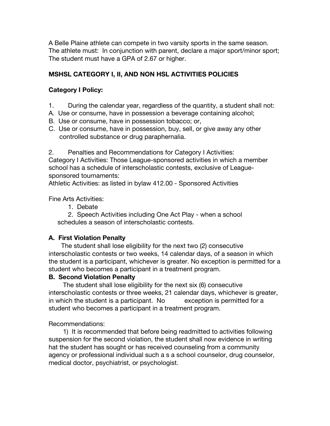A Belle Plaine athlete can compete in two varsity sports in the same season. The athlete must: In conjunction with parent, declare a major sport/minor sport; The student must have a GPA of 2.67 or higher.

# **MSHSL CATEGORY I, II, AND NON HSL ACTIVITIES POLICIES**

# **Category I Policy:**

- 1. During the calendar year, regardless of the quantity, a student shall not:
- A. Use or consume, have in possession a beverage containing alcohol;
- B. Use or consume, have in possession tobacco; or,
- C. Use or consume, have in possession, buy, sell, or give away any other controlled substance or drug paraphernalia.

2. Penalties and Recommendations for Category I Activities:

Category I Activities: Those League-sponsored activities in which a member school has a schedule of interscholastic contests, exclusive of Leaguesponsored tournaments:

Athletic Activities: as listed in bylaw 412.00 - Sponsored Activities

Fine Arts Activities:

1. Debate

2. Speech Activities including One Act Play - when a school schedules a season of interscholastic contests.

# **A. First Violation Penalty**

 The student shall lose eligibility for the next two (2) consecutive interscholastic contests or two weeks, 14 calendar days, of a season in which the student is a participant, whichever is greater. No exception is permitted for a student who becomes a participant in a treatment program.

# **B. Second Violation Penalty**

 The student shall lose eligibility for the next six (6) consecutive interscholastic contests or three weeks, 21 calendar days, whichever is greater, in which the student is a participant. No exception is permitted for a student who becomes a participant in a treatment program.

Recommendations:

 1) It is recommended that before being readmitted to activities following suspension for the second violation, the student shall now evidence in writing hat the student has sought or has received counseling from a community agency or professional individual such a s a school counselor, drug counselor, medical doctor, psychiatrist, or psychologist.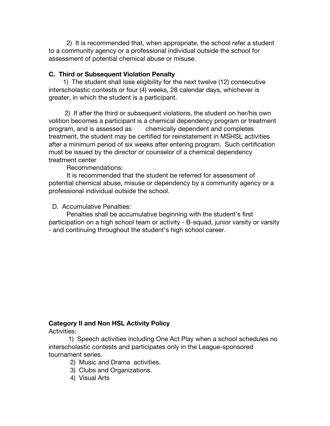2) It is recommended that, when appropriate, the school refer a student to a community agency or a professional individual outside the school for assessment of potential chemical abuse or misuse.

#### **C. Third or Subsequent Violation Penalty**

 1) The student shall lose eligibility for the next twelve (12) consecutive interscholastic contests or four (4) weeks, 28 calendar days, whichever is greater, in which the student is a participant.

 2) If after the third or subsequent violations, the student on her/his own volition becomes a participant is a chemical dependency program or treatment program, and is assessed as chemically dependent and completes treatment, the student may be certified for reinstatement in MSHSL activities after a minimum period of six weeks after entering program. Such certification must be issued by the director or counselor of a chemical dependency treatment center

Recommendations:

 It is recommended that the student be referred for assessment of potential chemical abuse, misuse or dependency by a community agency or a professional individual outside the school.

D. Accumulative Penalties:

 Penalties shall be accumulative beginning with the student's first participation on a high school team or activity - B-squad, junior varsity or varsity - and continuing throughout the student's high school career.

# **Category II and Non HSL Activity Policy**

Activities:

 1) Speech activities including One Act Play when a school schedules no interscholastic contests and participates only in the League-sponsored tournament series.

- 2) Music and Drama activities.
- 3) Clubs and Organizations.
- 4) Visual Arts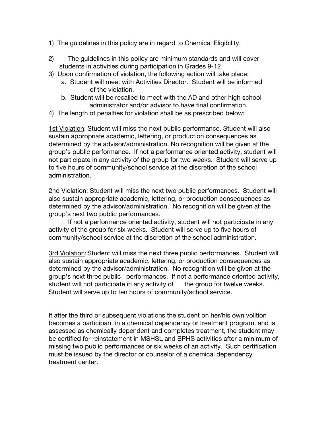- 1) The guidelines in this policy are in regard to Chemical Eligibility.
- 2) The guidelines in this policy are minimum standards and will cover students in activities during participation in Grades 9-12
- 3) Upon confirmation of violation, the following action will take place:
	- a. Student will meet with Activities Director. Student will be informed of the violation.
	- b. Student will be recalled to meet with the AD and other high school administrator and/or advisor to have final confirmation.
- 4) The length of penalties for violation shall be as prescribed below:

1st Violation: Student will miss the next public performance. Student will also sustain appropriate academic, lettering, or production consequences as determined by the advisor/administration. No recognition will be given at the group's public performance. If not a performance oriented activity, student will not participate in any activity of the group for two weeks. Student will serve up to five hours of community/school service at the discretion of the school administration.

2nd Violation: Student will miss the next two public performances. Student will also sustain appropriate academic, lettering, or production consequences as determined by the advisor/administration. No recognition will be given at the group's next two public performances.

If not a performance oriented activity, student will not participate in any activity of the group for six weeks. Student will serve up to five hours of community/school service at the discretion of the school administration.

3rd Violation:Student will miss the next three public performances. Student will also sustain appropriate academic, lettering, or production consequences as determined by the advisor/administration. No recognition will be given at the group's next three public performances. If not a performance oriented activity, student will not participate in any activity of the group for twelve weeks. Student will serve up to ten hours of community/school service.

If after the third or subsequent violations the student on her/his own volition becomes a participant in a chemical dependency or treatment program, and is assessed as chemically dependent and completes treatment, the student may be certified for reinstatement in MSHSL and BPHS activities after a minimum of missing two public performances or six weeks of an activity. Such certification must be issued by the director or counselor of a chemical dependency treatment center.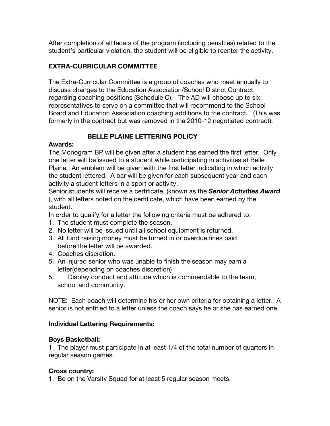After completion of all facets of the program (including penalties) related to the student's particular violation, the student will be eligible to reenter the activity.

# **EXTRA-CURRICULAR COMMITTEE**

The Extra-Curricular Committee is a group of coaches who meet annually to discuss changes to the Education Association/School District Contract regarding coaching positions (Schedule C). The AD will choose up to six representatives to serve on a committee that will recommend to the School Board and Education Association coaching additions to the contract. (This was formerly in the contract but was removed in the 2010-12 negotiated contract).

# **BELLE PLAINE LETTERING POLICY**

# **Awards:**

The Monogram BP will be given after a student has earned the first letter. Only one letter will be issued to a student while participating in activities at Belle Plaine. An emblem will be given with the first letter indicating in which activity the student lettered. A bar will be given for each subsequent year and each activity a student letters in a sport or activity.

Senior students will receive a certificate, (known as the *Senior Activities Award*  ), with all letters noted on the certificate, which have been earned by the student.

In order to qualify for a letter the following criteria must be adhered to:

- 1. The student must complete the season.
- 2. No letter will be issued until all school equipment is returned.
- 3. All fund raising money must be turned in or overdue fines paid before the letter will be awarded.
- 4. Coaches discretion.
- 5. An injured senior who was unable to finish the season may earn a letter(depending on coaches discretion)
- 5. Display conduct and attitude which is commendable to the team, school and community.

NOTE: Each coach will determine his or her own criteria for obtaining a letter. A senior is not entitled to a letter unless the coach says he or she has earned one.

# **Individual Lettering Requirements:**

# **Boys Basketball:**

1. The player must participate in at least 1/4 of the total number of quarters in regular season games.

# **Cross country:**

1. Be on the Varsity Squad for at least 5 regular season meets.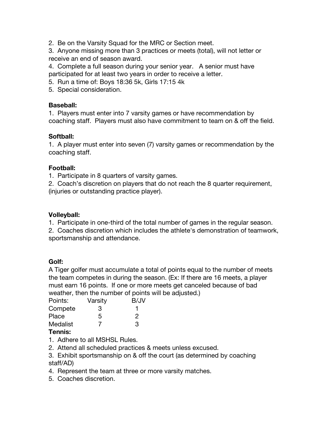2. Be on the Varsity Squad for the MRC or Section meet.

3. Anyone missing more than 3 practices or meets (total), will not letter or receive an end of season award.

4. Complete a full season during your senior year. A senior must have participated for at least two years in order to receive a letter.

- 5. Run a time of: Boys 18:36 5k, Girls 17:15 4k
- 5. Special consideration.

#### **Baseball:**

1. Players must enter into 7 varsity games or have recommendation by coaching staff. Players must also have commitment to team on & off the field.

# **Softball:**

1. A player must enter into seven (7) varsity games or recommendation by the coaching staff.

#### **Football:**

1. Participate in 8 quarters of varsity games.

2. Coach's discretion on players that do not reach the 8 quarter requirement, (injuries or outstanding practice player).

#### **Volleyball:**

1. Participate in one-third of the total number of games in the regular season.

2. Coaches discretion which includes the athlete's demonstration of teamwork, sportsmanship and attendance.

# **Golf:**

A Tiger golfer must accumulate a total of points equal to the number of meets the team competes in during the season. (Ex: If there are 16 meets, a player must earn 16 points. If one or more meets get canceled because of bad weather, then the number of points will be adjusted.)

| Varsity | B/JV |
|---------|------|
| З       |      |
| 5       | 2    |
|         | З    |
|         |      |

# **Tennis:**

- 1. Adhere to all MSHSL Rules.
- 2. Attend all scheduled practices & meets unless excused.
- 3. Exhibit sportsmanship on & off the court (as determined by coaching staff/AD)
- 4. Represent the team at three or more varsity matches.
- 5. Coaches discretion.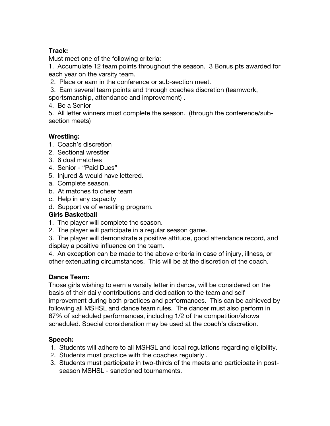# **Track:**

Must meet one of the following criteria:

1. Accumulate 12 team points throughout the season. 3 Bonus pts awarded for each year on the varsity team.

- 2. Place or earn in the conference or sub-section meet.
- 3. Earn several team points and through coaches discretion (teamwork,

sportsmanship, attendance and improvement) .

4. Be a Senior

5. All letter winners must complete the season. (through the conference/subsection meets)

# **Wrestling:**

- 1. Coach's discretion
- 2. Sectional wrestler
- 3. 6 dual matches
- 4. Senior "Paid Dues"
- 5. Injured & would have lettered.
- a. Complete season.
- b. At matches to cheer team
- c. Help in any capacity
- d. Supportive of wrestling program.

#### **Girls Basketball**

- 1. The player will complete the season.
- 2. The player will participate in a regular season game.

3. The player will demonstrate a positive attitude, good attendance record, and display a positive influence on the team.

4. An exception can be made to the above criteria in case of injury, illness, or other extenuating circumstances. This will be at the discretion of the coach.

# **Dance Team:**

Those girls wishing to earn a varsity letter in dance, will be considered on the basis of their daily contributions and dedication to the team and self improvement during both practices and performances. This can be achieved by following all MSHSL and dance team rules. The dancer must also perform in 67% of scheduled performances, including 1/2 of the competition/shows scheduled. Special consideration may be used at the coach's discretion.

# **Speech:**

- 1. Students will adhere to all MSHSL and local regulations regarding eligibility.
- 2. Students must practice with the coaches regularly .
- 3. Students must participate in two-thirds of the meets and participate in post season MSHSL - sanctioned tournaments.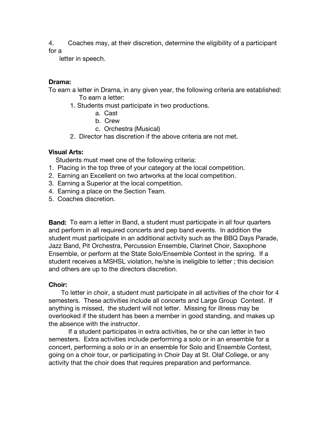4. Coaches may, at their discretion, determine the eligibility of a participant for a

letter in speech.

#### **Drama:**

To earn a letter in Drama, in any given year, the following criteria are established: To earn a letter:

- 1. Students must participate in two productions.
	- a. Cast
	- b. Crew
	- c. Orchestra (Musical)
- 2. Director has discretion if the above criteria are not met.

#### **Visual Arts:**

Students must meet one of the following criteria:

- 1. Placing in the top three of your category at the local competition.
- 2. Earning an Excellent on two artworks at the local competition.
- 3. Earning a Superior at the local competition.
- 4. Earning a place on the Section Team.
- 5. Coaches discretion.

**Band:** To earn a letter in Band, a student must participate in all four quarters and perform in all required concerts and pep band events. In addition the student must participate in an additional activity such as the BBQ Days Parade, Jazz Band, Pit Orchestra, Percussion Ensemble, Clarinet Choir, Saxophone Ensemble, or perform at the State Solo/Ensemble Contest in the spring. If a student receives a MSHSL violation, he/she is ineligible to letter ; this decision and others are up to the directors discretion.

#### **Choir:**

To letter in choir, a student must participate in all activities of the choir for 4 semesters. These activities include all concerts and Large Group Contest. If anything is missed, the student will not letter. Missing for illness may be overlooked if the student has been a member in good standing, and makes up the absence with the instructor.

 If a student participates in extra activities, he or she can letter in two semesters. Extra activities include performing a solo or in an ensemble for a concert, performing a solo or in an ensemble for Solo and Ensemble Contest, going on a choir tour, or participating in Choir Day at St. Olaf College, or any activity that the choir does that requires preparation and performance.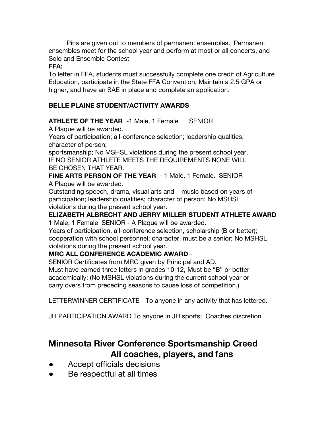Pins are given out to members of permanent ensembles. Permanent ensembles meet for the school year and perform at most or all concerts, and Solo and Ensemble Contest

#### **FFA:**

To letter in FFA, students must successfully complete one credit of Agriculture Education, participate in the State FFA Convention, Maintain a 2.5 GPA or higher, and have an SAE in place and complete an application.

# **BELLE PLAINE STUDENT/ACTIVITY AWARDS**

# **ATHLETE OF THE YEAR** -1 Male, 1 Female SENIOR

A Plaque will be awarded.

Years of participation; all-conference selection; leadership qualities; character of person;

sportsmanship; No MSHSL violations during the present school year. IF NO SENIOR ATHLETE MEETS THE REQUIREMENTS NONE WILL BE CHOSEN THAT YEAR.

**FINE ARTS PERSON OF THE YEAR** - 1 Male, 1 Female. SENIOR A Plaque will be awarded.

Outstanding speech, drama, visual arts and music based on years of participation; leadership qualities; character of person; No MSHSL violations during the present school year.

# **ELIZABETH ALBRECHT AND JERRY MILLER STUDENT ATHLETE AWARD**

1 Male, 1 Female SENIOR - A Plaque will be awarded.

Years of participation, all-conference selection, scholarship (B or better); cooperation with school personnel; character, must be a senior; No MSHSL violations during the present school year.

# **MRC ALL CONFERENCE ACADEMIC AWARD** -

SENIOR Certificates from MRC given by Principal and AD.

Must have earned three letters in grades 10-12, Must be "B" or better academically; (No MSHSL violations during the current school year or carry overs from preceding seasons to cause loss of competition.)

LETTERWINNER CERTIFICATE To anyone in any activity that has lettered.

JH PARTICIPATION AWARD To anyone in JH sports; Coaches discretion

# **Minnesota River Conference Sportsmanship Creed All coaches, players, and fans**

- Accept officials decisions
- Be respectful at all times